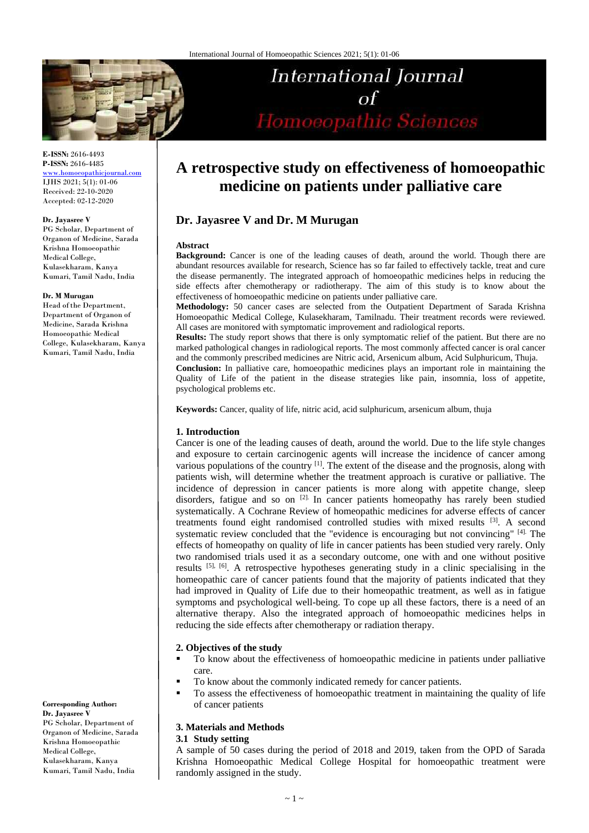

**E-ISSN:** 2616-4493 **P-ISSN:** 2616-4485 [www.homoeopathicjournal.com](file://Server/test/homoeopathicjournal/issue/vol%204/issue%201/www.homoeopathicjournal.com)

IJHS 2021; 5(1): 01-06 Received: 22-10-2020 Accepted: 02-12-2020

#### **Dr. Jayasree V**

PG Scholar, Department of Organon of Medicine, Sarada Krishna Homoeopathic Medical College, Kulasekharam, Kanya Kumari, Tamil Nadu, India

#### **Dr. M Murugan**

Head ofthe Department, Department of Organon of Medicine, Sarada Krishna Homoeopathic Medical College, Kulasekharam, Kanya Kumari, Tamil Nadu, India

**Corresponding Author: Dr. Jayasree V** PG Scholar, Department of Organon of Medicine, Sarada Krishna Homoeopathic Medical College, Kulasekharam, Kanya Kumari, Tamil Nadu, India

# **A retrospective study on effectiveness of homoeopathic medicine on patients under palliative care**

**International Journal** 

Homoeopathic Sciences

 $\sigma$ f

## **Dr. Jayasree V and Dr. M Murugan**

#### **Abstract**

**Background:** Cancer is one of the leading causes of death, around the world. Though there are abundant resources available for research, Science has so far failed to effectively tackle, treat and cure the disease permanently. The integrated approach of homoeopathic medicines helps in reducing the side effects after chemotherapy or radiotherapy. The aim of this study is to know about the effectiveness of homoeopathic medicine on patients under palliative care.

**Methodology:** 50 cancer cases are selected from the Outpatient Department of Sarada Krishna Homoeopathic Medical College, Kulasekharam, Tamilnadu. Their treatment records were reviewed. All cases are monitored with symptomatic improvement and radiological reports.

**Results:** The study report shows that there is only symptomatic relief of the patient. But there are no marked pathological changes in radiological reports. The most commonly affected cancer is oral cancer and the commonly prescribed medicines are Nitric acid, Arsenicum album, Acid Sulphuricum, Thuja.

**Conclusion:** In palliative care, homoeopathic medicines plays an important role in maintaining the Quality of Life of the patient in the disease strategies like pain, insomnia, loss of appetite, psychological problems etc.

**Keywords:** Cancer, quality of life, nitric acid, acid sulphuricum, arsenicum album, thuja

#### **1. Introduction**

Cancer is one of the leading causes of death, around the world. Due to the life style changes and exposure to certain carcinogenic agents will increase the incidence of cancer among various populations of the country  $[1]$ . The extent of the disease and the prognosis, along with patients wish, will determine whether the treatment approach is curative or palliative. The incidence of depression in cancer patients is more along with appetite change, sleep disorders, fatigue and so on <sup>[2].</sup> In cancer patients homeopathy has rarely been studied systematically. A Cochrane Review of homeopathic medicines for adverse effects of cancer treatments found eight randomised controlled studies with mixed results [3]. A second systematic review concluded that the "evidence is encouraging but not convincing" [4]. The effects of homeopathy on quality of life in cancer patients has been studied very rarely. Only two randomised trials used it as a secondary outcome, one with and one without positive results [5], [6]. A retrospective hypotheses generating study in a clinic specialising in the homeopathic care of cancer patients found that the majority of patients indicated that they had improved in Quality of Life due to their homeopathic treatment, as well as in fatigue symptoms and psychological well-being. To cope up all these factors, there is a need of an alternative therapy. Also the integrated approach of homoeopathic medicines helps in reducing the side effects after chemotherapy or radiation therapy.

#### **2. Objectives of the study**

- To know about the effectiveness of homoeopathic medicine in patients under palliative care.
- To know about the commonly indicated remedy for cancer patients.
- To assess the effectiveness of homoeopathic treatment in maintaining the quality of life of cancer patients

#### **3. Materials and Methods**

#### **3.1 Study setting**

A sample of 50 cases during the period of 2018 and 2019, taken from the OPD of Sarada Krishna Homoeopathic Medical College Hospital for homoeopathic treatment were randomly assigned in the study.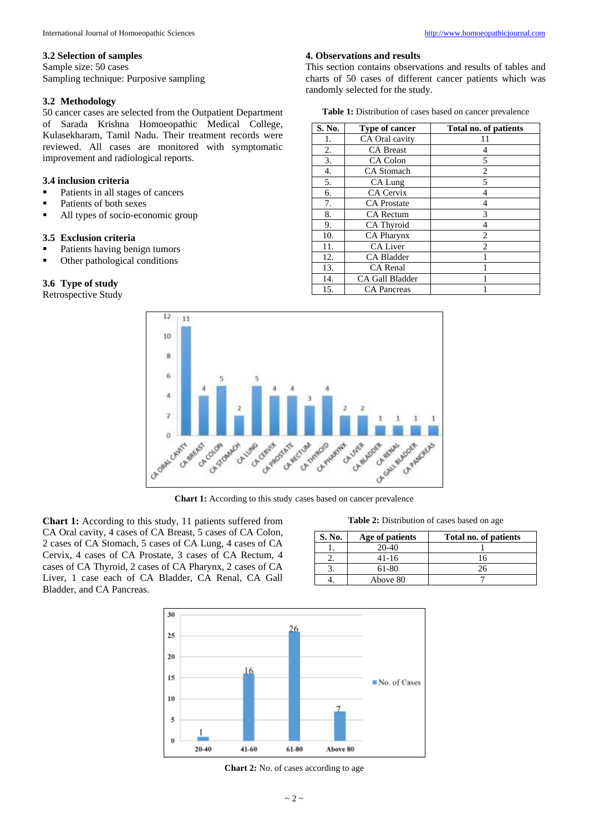Sample size: 50 cases Sampling technique: Purposive sampling

## **3.2 Methodology**

50 cancer cases are selected from the Outpatient Department of Sarada Krishna Homoeopathic Medical College, Kulasekharam, Tamil Nadu. Their treatment records were reviewed. All cases are monitored with symptomatic improvement and radiological reports.

## **3.4 inclusion criteria**

- Patients in all stages of cancers
- Patients of both sexes
- All types of socio-economic group

### **3.5 Exclusion criteria**

- Patients having benign tumors
- Other pathological conditions

## **3.6 Type of study**

Retrospective Study

#### **4. Observations and results**

This section contains observations and results of tables and charts of 50 cases of different cancer patients which was randomly selected for the study.

**Table 1:** Distribution of cases based on cancer prevalence

| S. No. | <b>Type of cancer</b>  | Total no. of patients    |
|--------|------------------------|--------------------------|
| 1.     | CA Oral cavity         | 11                       |
| 2.     | <b>CA Breast</b>       | 4                        |
| 3.     | CA Colon               | 5                        |
| 4.     | <b>CA</b> Stomach      | $\overline{c}$           |
| 5.     | CA Lung                | $\overline{\phantom{0}}$ |
| 6.     | <b>CA Cervix</b>       | $\overline{4}$           |
| 7.     | <b>CA</b> Prostate     | 4                        |
| 8.     | <b>CA Rectum</b>       | 3                        |
| 9.     | CA Thyroid             | 4                        |
| 10.    | <b>CA Pharynx</b>      | 2                        |
| 11.    | <b>CA Liver</b>        | $\overline{c}$           |
| 12.    | <b>CA Bladder</b>      |                          |
| 13.    | <b>CA</b> Renal        |                          |
| 14.    | <b>CA Gall Bladder</b> |                          |
| 15.    | <b>CA</b> Pancreas     |                          |



**Chart 1:** According to this study cases based on cancer prevalence

**Chart 1:** According to this study, 11 patients suffered from CA Oral cavity, 4 cases of CA Breast, 5 cases of CA Colon, 2 cases of CA Stomach, 5 cases of CA Lung, 4 cases of CA Cervix, 4 cases of CA Prostate, 3 cases of CA Rectum, 4 cases of CA Thyroid, 2 cases of CA Pharynx, 2 cases of CA Liver, 1 case each of CA Bladder, CA Renal, CA Gall Bladder, and CA Pancreas.

**Table 2:** Distribution of cases based on age

| S. No. | Age of patients | Total no. of patients |
|--------|-----------------|-----------------------|
|        | $20-40$         |                       |
|        | 41-16           |                       |
|        | 61-80           |                       |
|        | Above 80        |                       |



**Chart 2:** No. of cases according to age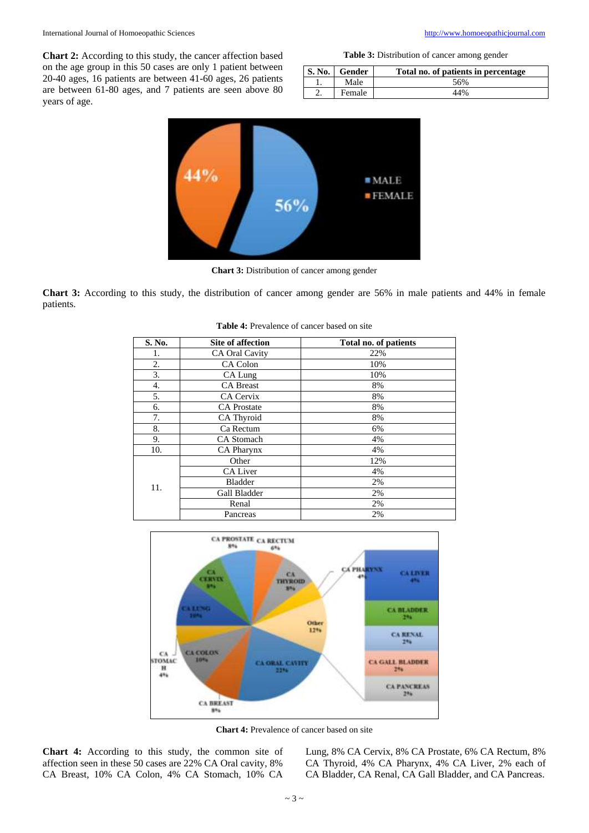**Chart 2:** According to this study, the cancer affection based on the age group in this 50 cases are only 1 patient between 20-40 ages, 16 patients are between 41-60 ages, 26 patients are between 61-80 ages, and 7 patients are seen above 80 years of age.

|  | <b>Table 3:</b> Distribution of cancer among gender |  |  |  |
|--|-----------------------------------------------------|--|--|--|
|--|-----------------------------------------------------|--|--|--|

| <b>S. No.</b> | Gender | Total no. of patients in percentage |
|---------------|--------|-------------------------------------|
|               | Male   | 56%                                 |
|               | Female | 44%                                 |



**Chart 3:** Distribution of cancer among gender

**Chart 3:** According to this study, the distribution of cancer among gender are 56% in male patients and 44% in female patients.

| S. No. | <b>Site of affection</b> | Total no. of patients |
|--------|--------------------------|-----------------------|
| 1.     | <b>CA Oral Cavity</b>    | 22%                   |
| 2.     | CA Colon                 | 10%                   |
| 3.     | CA Lung                  | 10%                   |
| 4.     | <b>CA Breast</b>         | 8%                    |
| 5.     | CA Cervix                | 8%                    |
| 6.     | <b>CA</b> Prostate       | 8%                    |
| 7.     | CA Thyroid               | 8%                    |
| 8.     | Ca Rectum                | 6%                    |
| 9.     | <b>CA</b> Stomach        | 4%                    |
| 10.    | CA Pharynx               | 4%                    |
|        | Other                    | 12%                   |
|        | <b>CA Liver</b>          | 4%                    |
| 11.    | <b>Bladder</b>           | 2%                    |
|        | Gall Bladder             | 2%                    |
|        | Renal                    | 2%                    |
|        | Pancreas                 | 2%                    |

**Table 4:** Prevalence of cancer based on site



**Chart 4:** Prevalence of cancer based on site

**Chart 4:** According to this study, the common site of affection seen in these 50 cases are 22% CA Oral cavity, 8% CA Breast, 10% CA Colon, 4% CA Stomach, 10% CA

Lung, 8% CA Cervix, 8% CA Prostate, 6% CA Rectum, 8% CA Thyroid, 4% CA Pharynx, 4% CA Liver, 2% each of CA Bladder, CA Renal, CA Gall Bladder, and CA Pancreas.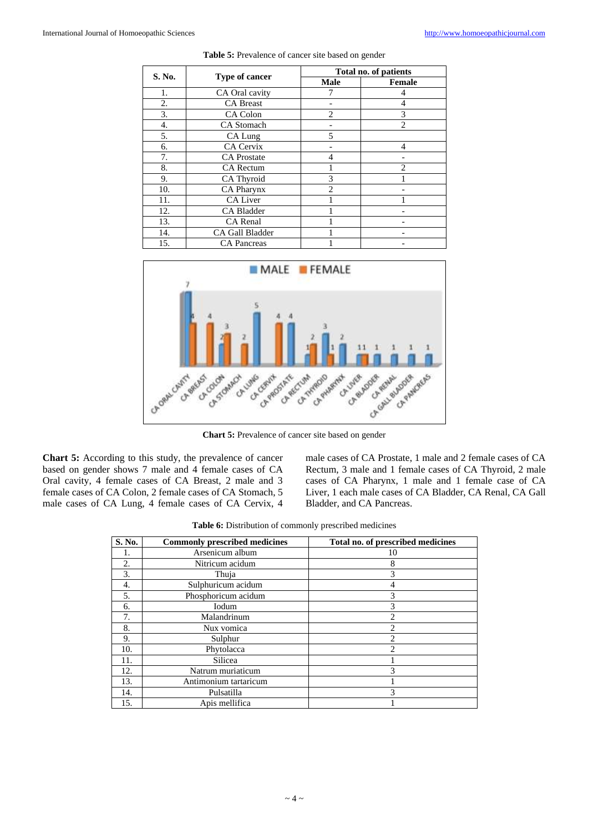| S. No. | <b>Type of cancer</b> | Total no. of patients       |               |
|--------|-----------------------|-----------------------------|---------------|
|        |                       | <b>Male</b>                 | <b>Female</b> |
| 1.     | CA Oral cavity        |                             | 4             |
| 2.     | <b>CA</b> Breast      |                             | 4             |
| 3.     | CA Colon              | $\overline{c}$              | 3             |
| 4.     | <b>CA</b> Stomach     |                             | 2             |
| 5.     | CA Lung               | $\overline{5}$              |               |
| 6.     | CA Cervix             |                             | 4             |
| 7.     | <b>CA</b> Prostate    | 4                           |               |
| 8.     | <b>CA</b> Rectum      |                             | 2             |
| 9.     | CA Thyroid            | 3                           |               |
| 10.    | CA Pharynx            | $\mathcal{D}_{\mathcal{A}}$ |               |
| 11.    | <b>CA Liver</b>       |                             |               |
| 12.    | CA Bladder            |                             |               |
| 13.    | CA Renal              |                             |               |
| 14.    | CA Gall Bladder       |                             |               |
| 15.    | <b>CA</b> Pancreas    |                             |               |

Table 5: Prevalence of cancer site based on gender



**Chart 5:** Prevalence of cancer site based on gender

**Chart 5:** According to this study, the prevalence of cancer based on gender shows 7 male and 4 female cases of CA Oral cavity, 4 female cases of CA Breast, 2 male and 3 female cases of CA Colon, 2 female cases of CA Stomach, 5 male cases of CA Lung, 4 female cases of CA Cervix, 4 male cases of CA Prostate, 1 male and 2 female cases of CA Rectum, 3 male and 1 female cases of CA Thyroid, 2 male cases of CA Pharynx, 1 male and 1 female case of CA Liver, 1 each male cases of CA Bladder, CA Renal, CA Gall Bladder, and CA Pancreas.

| Table 6: Distribution of commonly prescribed medicines |  |
|--------------------------------------------------------|--|
|--------------------------------------------------------|--|

| S. No. | <b>Commonly prescribed medicines</b> | Total no. of prescribed medicines |
|--------|--------------------------------------|-----------------------------------|
| 1.     | Arsenicum album                      | 10                                |
| 2.     | Nitricum acidum                      | 8                                 |
| 3.     | Thuja                                | 3                                 |
| 4.     | Sulphuricum acidum                   |                                   |
| 5.     | Phosphoricum acidum                  | 3                                 |
| 6.     | Iodum                                | 3                                 |
| 7.     | Malandrinum                          | $\overline{c}$                    |
| 8.     | Nux vomica                           | $\overline{c}$                    |
| 9.     | Sulphur                              | $\mathfrak{D}$                    |
| 10.    | Phytolacca                           | $\overline{c}$                    |
| 11.    | Silicea                              |                                   |
| 12.    | Natrum muriaticum                    | 3                                 |
| 13.    | Antimonium tartaricum                |                                   |
| 14.    | Pulsatilla                           | 3                                 |
| 15.    | Apis mellifica                       |                                   |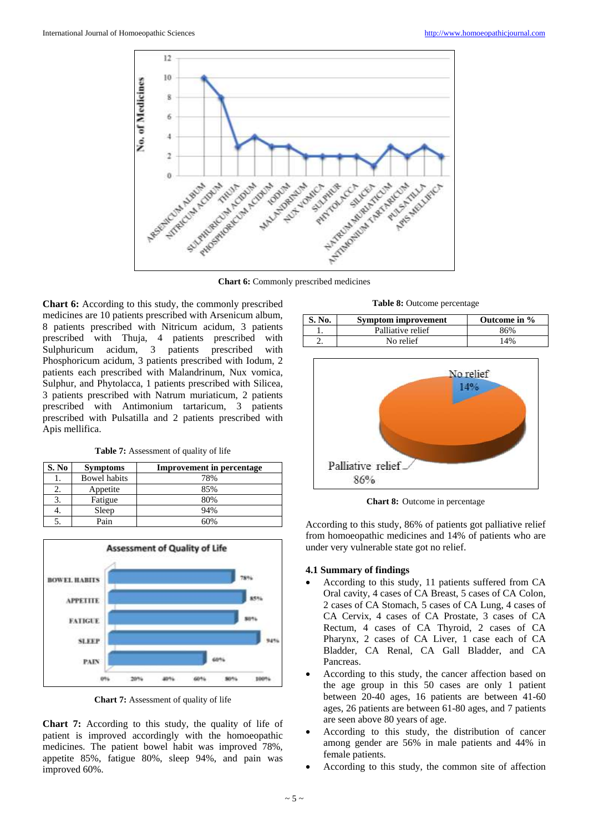

**Chart 6:** Commonly prescribed medicines

**Chart 6:** According to this study, the commonly prescribed medicines are 10 patients prescribed with Arsenicum album, 8 patients prescribed with Nitricum acidum, 3 patients prescribed with Thuja, 4 patients prescribed with Sulphuricum acidum, 3 patients prescribed with Phosphoricum acidum, 3 patients prescribed with Iodum, 2 patients each prescribed with Malandrinum, Nux vomica, Sulphur, and Phytolacca, 1 patients prescribed with Silicea, 3 patients prescribed with Natrum muriaticum, 2 patients prescribed with Antimonium tartaricum, 3 patients prescribed with Pulsatilla and 2 patients prescribed with Apis mellifica.

**Table 7:** Assessment of quality of life

| S. No | <b>Symptoms</b>     | <b>Improvement in percentage</b> |
|-------|---------------------|----------------------------------|
|       | <b>Bowel habits</b> | 78%                              |
|       | Appetite            | 85%                              |
|       | Fatigue             | 80%                              |
| 4.    | Sleep               | 94%                              |
|       | Pain                | 60%                              |



**Chart 7:** Assessment of quality of life

**Chart 7:** According to this study, the quality of life of patient is improved accordingly with the homoeopathic medicines. The patient bowel habit was improved 78%, appetite 85%, fatigue 80%, sleep 94%, and pain was improved 60%.

**Table 8:** Outcome percentage

| S. No. | <b>Symptom improvement</b> | Outcome in % |
|--------|----------------------------|--------------|
|        | Palliative relief          | 86%          |
|        | No relief                  | $4\%$        |



**Chart 8:** Outcome in percentage

According to this study, 86% of patients got palliative relief from homoeopathic medicines and 14% of patients who are under very vulnerable state got no relief.

## **4.1 Summary of findings**

- According to this study, 11 patients suffered from CA Oral cavity, 4 cases of CA Breast, 5 cases of CA Colon, 2 cases of CA Stomach, 5 cases of CA Lung, 4 cases of CA Cervix, 4 cases of CA Prostate, 3 cases of CA Rectum, 4 cases of CA Thyroid, 2 cases of CA Pharynx, 2 cases of CA Liver, 1 case each of CA Bladder, CA Renal, CA Gall Bladder, and CA Pancreas.
- According to this study, the cancer affection based on the age group in this 50 cases are only 1 patient between 20-40 ages, 16 patients are between 41-60 ages, 26 patients are between 61-80 ages, and 7 patients are seen above 80 years of age.
- According to this study, the distribution of cancer among gender are 56% in male patients and 44% in female patients.
- According to this study, the common site of affection